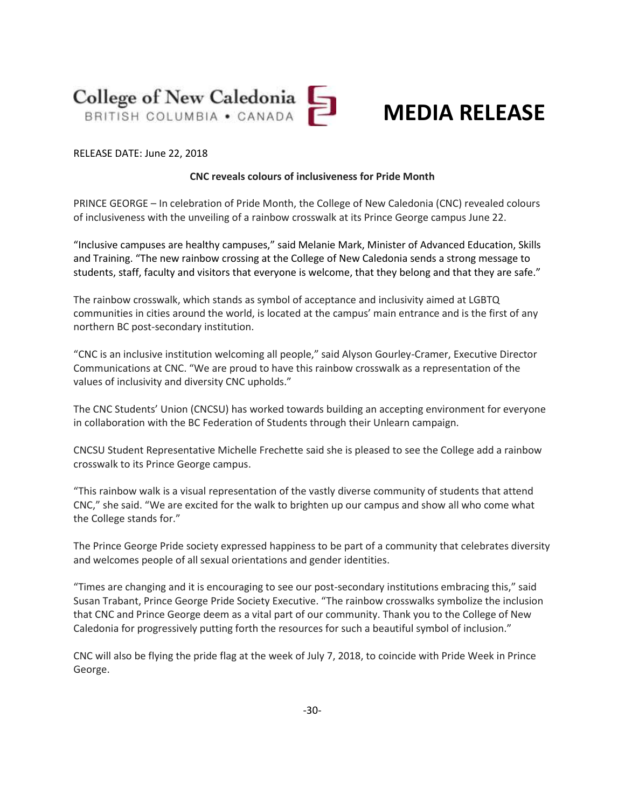

## **MEDIA RELEASE**

#### RELEASE DATE: June 22, 2018

#### **CNC reveals colours of inclusiveness for Pride Month**

PRINCE GEORGE – In celebration of Pride Month, the College of New Caledonia (CNC) revealed colours of inclusiveness with the unveiling of a rainbow crosswalk at its Prince George campus June 22.

"Inclusive campuses are healthy campuses," said Melanie Mark, Minister of Advanced Education, Skills and Training. "The new rainbow crossing at the College of New Caledonia sends a strong message to students, staff, faculty and visitors that everyone is welcome, that they belong and that they are safe."

The rainbow crosswalk, which stands as symbol of acceptance and inclusivity aimed at LGBTQ communities in cities around the world, is located at the campus' main entrance and is the first of any northern BC post-secondary institution.

"CNC is an inclusive institution welcoming all people," said Alyson Gourley-Cramer, Executive Director Communications at CNC. "We are proud to have this rainbow crosswalk as a representation of the values of inclusivity and diversity CNC upholds."

The CNC Students' Union (CNCSU) has worked towards building an accepting environment for everyone in collaboration with the BC Federation of Students through their Unlearn campaign.

CNCSU Student Representative Michelle Frechette said she is pleased to see the College add a rainbow crosswalk to its Prince George campus.

"This rainbow walk is a visual representation of the vastly diverse community of students that attend CNC," she said. "We are excited for the walk to brighten up our campus and show all who come what the College stands for."

The Prince George Pride society expressed happiness to be part of a community that celebrates diversity and welcomes people of all sexual orientations and gender identities.

"Times are changing and it is encouraging to see our post-secondary institutions embracing this," said Susan Trabant, Prince George Pride Society Executive. "The rainbow crosswalks symbolize the inclusion that CNC and Prince George deem as a vital part of our community. Thank you to the College of New Caledonia for progressively putting forth the resources for such a beautiful symbol of inclusion."

CNC will also be flying the pride flag at the week of July 7, 2018, to coincide with Pride Week in Prince George.